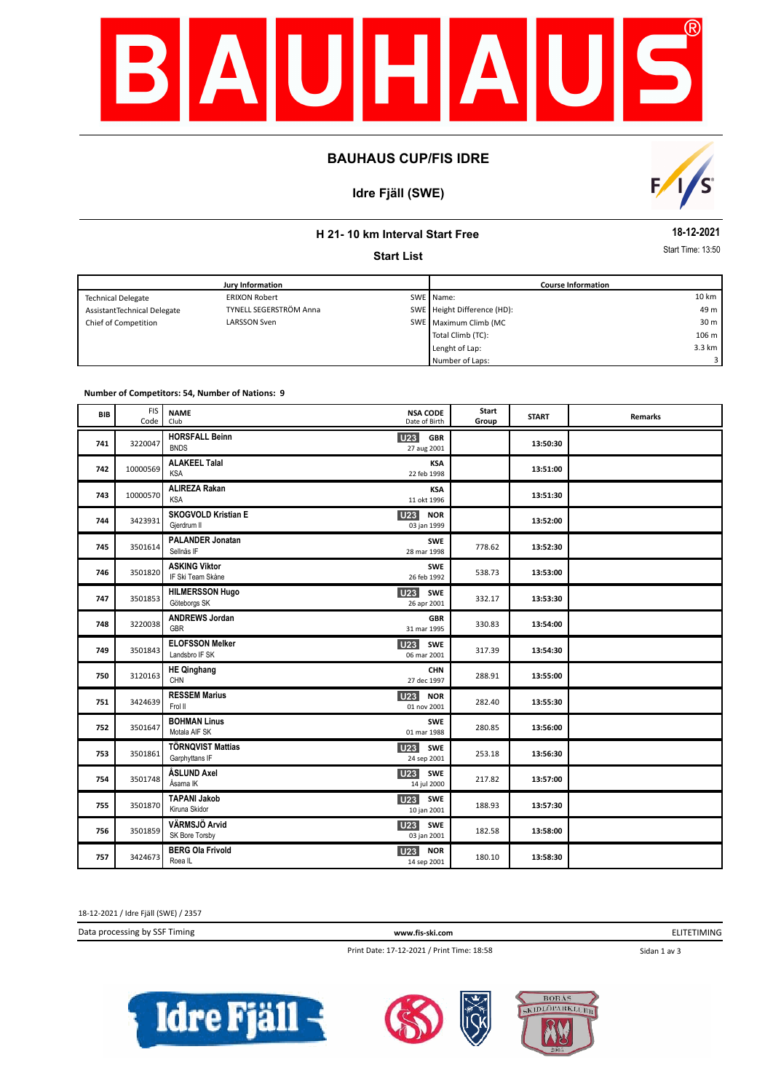

# **BAUHAUS CUP/FIS IDRE**

# **Idre Fjäll (SWE)**



# **H 21- 10 km Interval Start Free**

**Start List**

**18-12-2021**

Start Time: 13:50

| Jury Information            |                        |  | <b>Course Information</b>   |                 |  |
|-----------------------------|------------------------|--|-----------------------------|-----------------|--|
| <b>Technical Delegate</b>   | <b>ERIXON Robert</b>   |  | SWE Name:                   | 10 km           |  |
| AssistantTechnical Delegate | TYNELL SEGERSTRÖM Anna |  | SWE Height Difference (HD): | 49 m            |  |
| Chief of Competition        | LARSSON Sven           |  | SWE Maximum Climb (MC       | 30 <sub>m</sub> |  |
|                             |                        |  | Total Climb (TC):           | 106 m           |  |
|                             |                        |  | Lenght of Lap:              | 3.3 km          |  |
|                             |                        |  | Number of Laps:             | 3 I             |  |

#### **Number of Competitors: 54, Number of Nations: 9**

| <b>BIB</b> | <b>FIS</b><br>Code | <b>NAME</b><br>Club                           | <b>NSA CODE</b><br>Date of Birth             | Start<br>Group | <b>START</b> | <b>Remarks</b> |
|------------|--------------------|-----------------------------------------------|----------------------------------------------|----------------|--------------|----------------|
| 741        | 3220047            | <b>HORSFALL Beinn</b><br><b>BNDS</b>          | <b>U23</b><br><b>GBR</b><br>27 aug 2001      |                | 13:50:30     |                |
| 742        | 10000569           | <b>ALAKEEL Talal</b><br><b>KSA</b>            | <b>KSA</b><br>22 feb 1998                    |                | 13:51:00     |                |
| 743        | 10000570           | <b>ALIREZA Rakan</b><br><b>KSA</b>            | <b>KSA</b><br>11 okt 1996                    |                | 13:51:30     |                |
| 744        | 3423931            | <b>SKOGVOLD Kristian E</b><br>Gjerdrum II     | <b>U23</b><br><b>NOR</b><br>03 jan 1999      |                | 13:52:00     |                |
| 745        | 3501614            | <b>PALANDER Jonatan</b><br>Sellnäs IF         | <b>SWE</b><br>28 mar 1998                    | 778.62         | 13:52:30     |                |
| 746        | 3501820            | <b>ASKING Viktor</b><br>IF Ski Team Skåne     | <b>SWE</b><br>26 feb 1992                    | 538.73         | 13:53:00     |                |
| 747        | 3501853            | <b>HILMERSSON Hugo</b><br>Göteborgs SK        | U23<br><b>SWE</b><br>26 apr 2001             | 332.17         | 13:53:30     |                |
| 748        | 3220038            | <b>ANDREWS Jordan</b><br>GBR                  | <b>GBR</b><br>31 mar 1995                    | 330.83         | 13:54:00     |                |
| 749        | 3501843            | <b>ELOFSSON Melker</b><br>Landsbro IF SK      | U23<br><b>SWE</b><br>06 mar 2001             | 317.39         | 13:54:30     |                |
| 750        | 3120163            | <b>HE Qinghang</b><br>CHN                     | <b>CHN</b><br>27 dec 1997                    | 288.91         | 13:55:00     |                |
| 751        | 3424639            | <b>RESSEM Marius</b><br>Frol II               | U23<br><b>NOR</b><br>01 nov 2001             | 282.40         | 13:55:30     |                |
| 752        | 3501647            | <b>BOHMAN Linus</b><br>Motala AIF SK          | SWE<br>01 mar 1988                           | 280.85         | 13:56:00     |                |
| 753        | 3501861            | <b>TÖRNQVIST Mattias</b><br>Garphyttans IF    | U <sub>23</sub><br><b>SWE</b><br>24 sep 2001 | 253.18         | 13:56:30     |                |
| 754        | 3501748            | ÅSLUND Axel<br>Åsarna IK                      | U23<br>SWE<br>14 jul 2000                    | 217.82         | 13:57:00     |                |
| 755        | 3501870            | <b>TAPANI Jakob</b><br>Kiruna Skidor          | U23<br>SWE<br>10 jan 2001                    | 188.93         | 13:57:30     |                |
| 756        | 3501859            | VÄRMSJÖ Arvid<br>SK Bore Torsby               | U23<br>SWE<br>03 jan 2001                    | 182.58         | 13:58:00     |                |
| 757        | 3424673            | <b>BERG Ola Frivold</b><br>Roea <sub>IL</sub> | <b>U23</b><br><b>NOR</b><br>14 sep 2001      | 180.10         | 13:58:30     |                |

18-12-2021 / Idre Fjäll (SWE) / 2357

Data processing by SSF Timing **www.fis-ski.com**

ELITETIMING

Sidan 1 av 3

Print Date: 17-12-2021 / Print Time: 18:58





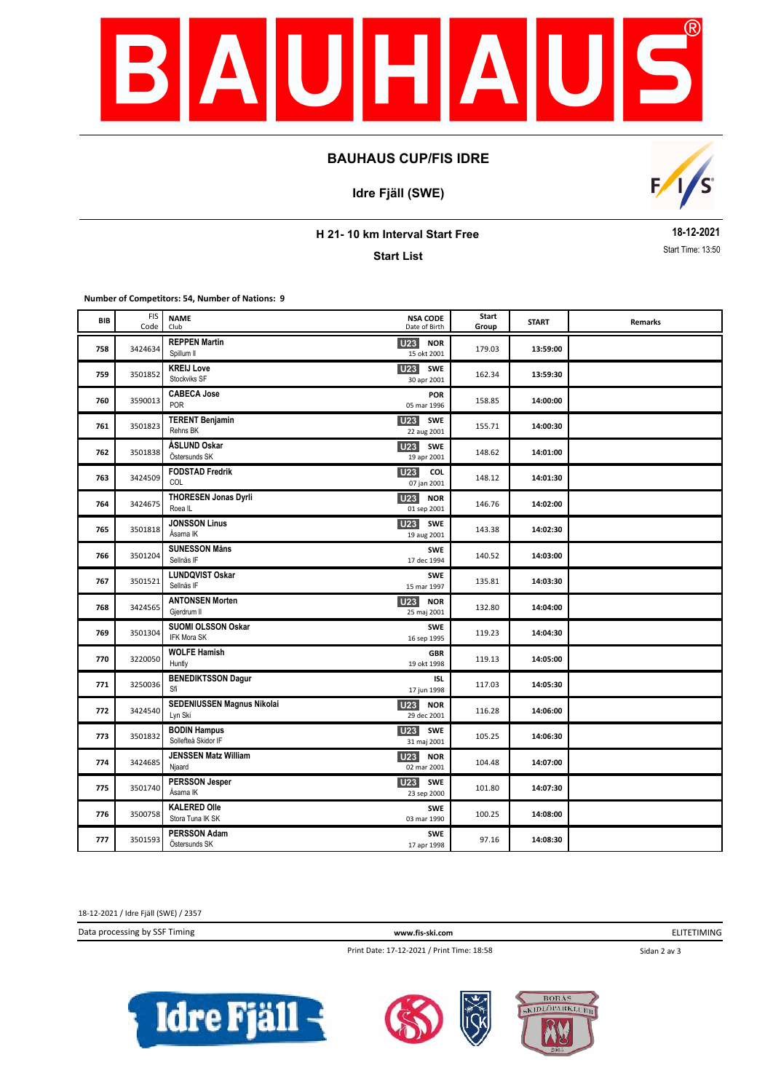

# **BAUHAUS CUP/FIS IDRE**

**Idre Fjäll (SWE)**



**H 21- 10 km Interval Start Free**

**Start List**

**18-12-2021** Start Time: 13:50

**Number of Competitors: 54, Number of Nations: 9**

| BIB | <b>FIS</b><br>Code | <b>NAME</b><br>Club                        | <b>NSA CODE</b><br>Date of Birth             | Start<br>Group | <b>START</b> | <b>Remarks</b> |
|-----|--------------------|--------------------------------------------|----------------------------------------------|----------------|--------------|----------------|
| 758 | 3424634            | <b>REPPEN Martin</b><br>Spillum II         | <b>U23 NOR</b><br>15 okt 2001                | 179.03         | 13:59:00     |                |
| 759 | 3501852            | <b>KREIJ Love</b><br>Stockviks SF          | <b>U23</b><br><b>SWE</b><br>30 apr 2001      | 162.34         | 13:59:30     |                |
| 760 | 3590013            | <b>CABECA Jose</b><br>POR                  | <b>POR</b><br>05 mar 1996                    | 158.85         | 14:00:00     |                |
| 761 | 3501823            | <b>TERENT Benjamin</b><br>Rehns BK         | <b>U23</b><br><b>SWE</b><br>22 aug 2001      | 155.71         | 14:00:30     |                |
| 762 | 3501838            | ÅSLUND Oskar<br>Östersunds SK              | <b>U23</b> SWE<br>19 apr 2001                | 148.62         | 14:01:00     |                |
| 763 | 3424509            | <b>FODSTAD Fredrik</b><br>COL              | U23<br>COL<br>07 jan 2001                    | 148.12         | 14:01:30     |                |
| 764 | 3424675            | <b>THORESEN Jonas Dyrli</b><br>Roea IL     | <b>U23</b><br><b>NOR</b><br>01 sep 2001      | 146.76         | 14:02:00     |                |
| 765 | 3501818            | <b>JONSSON Linus</b><br>Åsarna IK          | <b>U23</b> SWE<br>19 aug 2001                | 143.38         | 14:02:30     |                |
| 766 | 3501204            | <b>SUNESSON Måns</b><br>Sellnäs IF         | <b>SWE</b><br>17 dec 1994                    | 140.52         | 14:03:00     |                |
| 767 | 3501521            | <b>LUNDQVIST Oskar</b><br>Sellnäs IF       | <b>SWE</b><br>15 mar 1997                    | 135.81         | 14:03:30     |                |
| 768 | 3424565            | <b>ANTONSEN Morten</b><br>Gjerdrum II      | U <sub>23</sub><br><b>NOR</b><br>25 maj 2001 | 132.80         | 14:04:00     |                |
| 769 | 3501304            | SUOMI OLSSON Oskar<br>IFK Mora SK          | <b>SWE</b><br>16 sep 1995                    | 119.23         | 14:04:30     |                |
| 770 | 3220050            | <b>WOLFE Hamish</b><br>Huntly              | <b>GBR</b><br>19 okt 1998                    | 119.13         | 14:05:00     |                |
| 771 | 3250036            | <b>BENEDIKTSSON Dagur</b><br>Sfi           | ISL<br>17 jun 1998                           | 117.03         | 14:05:30     |                |
| 772 | 3424540            | SEDENIUSSEN Magnus Nikolai<br>Lyn Ski      | <b>U23</b><br><b>NOR</b><br>29 dec 2001      | 116.28         | 14:06:00     |                |
| 773 | 3501832            | <b>BODIN Hampus</b><br>Sollefteå Skidor IF | U23<br>SWE<br>31 maj 2001                    | 105.25         | 14:06:30     |                |
| 774 | 3424685            | <b>JENSSEN Matz William</b><br>Njaard      | <b>U23</b><br><b>NOR</b><br>02 mar 2001      | 104.48         | 14:07:00     |                |
| 775 | 3501740            | <b>PERSSON Jesper</b><br>Åsarna IK         | U <sub>23</sub><br><b>SWE</b><br>23 sep 2000 | 101.80         | 14:07:30     |                |
| 776 | 3500758            | <b>KALERED Olle</b><br>Stora Tuna IK SK    | <b>SWE</b><br>03 mar 1990                    | 100.25         | 14:08:00     |                |
| 777 | 3501593            | <b>PERSSON Adam</b><br>Östersunds SK       | <b>SWE</b><br>17 apr 1998                    | 97.16          | 14:08:30     |                |

18-12-2021 / Idre Fjäll (SWE) / 2357

Data processing by SSF Timing **www.fis-ski.com**

ELITETIMING

Print Date: 17-12-2021 / Print Time: 18:58

Sidan 2 av 3